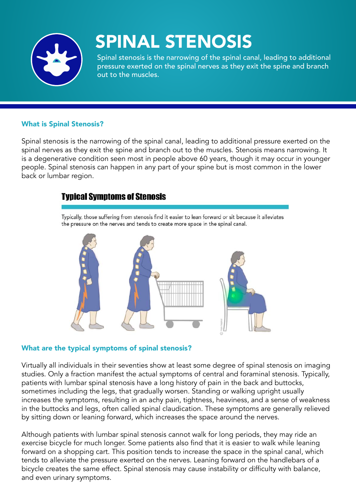

# SPINAL STENOSIS

Spinal stenosis is the narrowing of the spinal canal, leading to additional pressure exerted on the spinal nerves as they exit the spine and branch out to the muscles.

#### What is Spinal Stenosis?

Spinal stenosis is the narrowing of the spinal canal, leading to additional pressure exerted on the spinal nerves as they exit the spine and branch out to the muscles. Stenosis means narrowing. It is a degenerative condition seen most in people above 60 years, though it may occur in younger people. Spinal stenosis can happen in any part of your spine but is most common in the lower back or lumbar region.

#### **Typical Symptoms of Stenosis**

Typically, those suffering from stenosis find it easier to lean forward or sit because it alleviates the pressure on the nerves and tends to create more space in the spinal canal.



#### What are the typical symptoms of spinal stenosis?

Virtually all individuals in their seventies show at least some degree of spinal stenosis on imaging studies. Only a fraction manifest the actual symptoms of central and foraminal stenosis. Typically, patients with lumbar spinal stenosis have a long history of pain in the back and buttocks, sometimes including the legs, that gradually worsen. Standing or walking upright usually increases the symptoms, resulting in an achy pain, tightness, heaviness, and a sense of weakness in the buttocks and legs, often called spinal claudication. These symptoms are generally relieved by sitting down or leaning forward, which increases the space around the nerves.

Although patients with lumbar spinal stenosis cannot walk for long periods, they may ride an exercise bicycle for much longer. Some patients also find that it is easier to walk while leaning forward on a shopping cart. This position tends to increase the space in the spinal canal, which tends to alleviate the pressure exerted on the nerves. Leaning forward on the handlebars of a bicycle creates the same effect. Spinal stenosis may cause instability or difficulty with balance, and even urinary symptoms.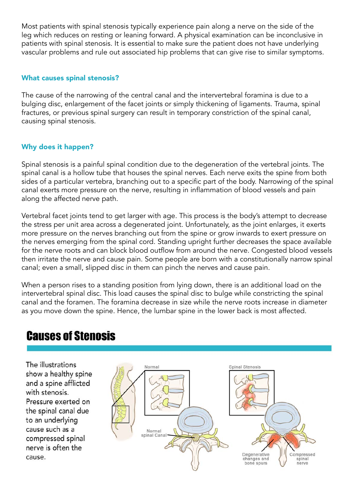Most patients with spinal stenosis typically experience pain along a nerve on the side of the leg which reduces on resting or leaning forward. A physical examination can be inconclusive in patients with spinal stenosis. It is essential to make sure the patient does not have underlying vascular problems and rule out associated hip problems that can give rise to similar symptoms.

#### What causes spinal stenosis?

The cause of the narrowing of the central canal and the intervertebral foramina is due to a bulging disc, enlargement of the facet joints or simply thickening of ligaments. Trauma, spinal fractures, or previous spinal surgery can result in temporary constriction of the spinal canal, causing spinal stenosis.

#### Why does it happen?

Spinal stenosis is a painful spinal condition due to the degeneration of the vertebral joints. The spinal canal is a hollow tube that houses the spinal nerves. Each nerve exits the spine from both sides of a particular vertebra, branching out to a specific part of the body. Narrowing of the spinal canal exerts more pressure on the nerve, resulting in inflammation of blood vessels and pain along the affected nerve path.

Vertebral facet joints tend to get larger with age. This process is the body's attempt to decrease the stress per unit area across a degenerated joint. Unfortunately, as the joint enlarges, it exerts more pressure on the nerves branching out from the spine or grow inwards to exert pressure on the nerves emerging from the spinal cord. Standing upright further decreases the space available for the nerve roots and can block blood outflow from around the nerve. Congested blood vessels then irritate the nerve and cause pain. Some people are born with a constitutionally narrow spinal canal; even a small, slipped disc in them can pinch the nerves and cause pain.

When a person rises to a standing position from lying down, there is an additional load on the intervertebral spinal disc. This load causes the spinal disc to bulge while constricting the spinal canal and the foramen. The foramina decrease in size while the nerve roots increase in diameter as you move down the spine. Hence, the lumbar spine in the lower back is most affected.

### **Causes of Stenosis**

The illustrations show a healthy spine and a spine afflicted with stenosis Pressure exerted on the spinal canal due to an underlying cause such as a compressed spinal nerve is often the cause.

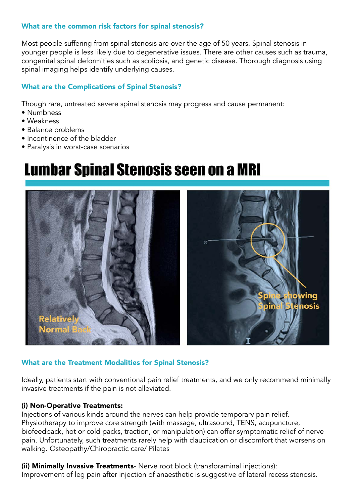#### What are the common risk factors for spinal stenosis?

Most people suffering from spinal stenosis are over the age of 50 years. Spinal stenosis in younger people is less likely due to degenerative issues. There are other causes such as trauma, congenital spinal deformities such as scoliosis, and genetic disease. Thorough diagnosis using spinal imaging helps identify underlying causes.

#### What are the Complications of Spinal Stenosis?

Though rare, untreated severe spinal stenosis may progress and cause permanent:

- Numbness
- Weakness
- Balance problems
- Incontinence of the bladder
- Paralysis in worst-case scenarios

## **Lumbar Spinal Stenosis seen on a MRI**



#### What are the Treatment Modalities for Spinal Stenosis?

Ideally, patients start with conventional pain relief treatments, and we only recommend minimally invasive treatments if the pain is not alleviated.

#### (i) Non-Operative Treatments:

Injections of various kinds around the nerves can help provide temporary pain relief. Physiotherapy to improve core strength (with massage, ultrasound, TENS, acupuncture, biofeedback, hot or cold packs, traction, or manipulation) can offer symptomatic relief of nerve pain. Unfortunately, such treatments rarely help with claudication or discomfort that worsens on walking. Osteopathy/Chiropractic care/ Pilates

(ii) Minimally Invasive Treatments- Nerve root block (transforaminal injections): Improvement of leg pain after injection of anaesthetic is suggestive of lateral recess stenosis.